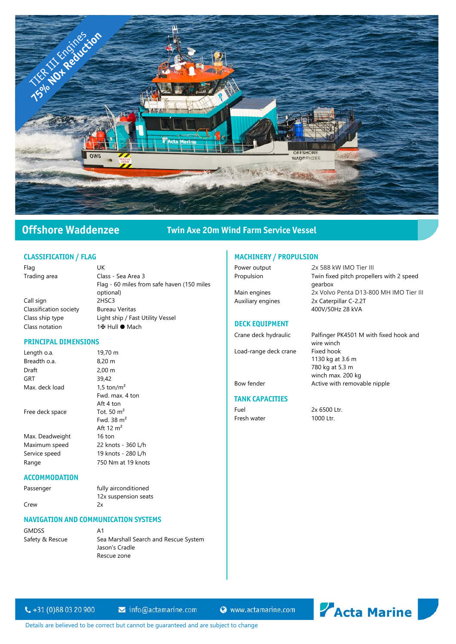

# Offshore Waddenzee Twin Axe 20m Wind Farm Service Vessel

#### CLASSIFICATION / FLAG

| Flag                   | UK                                         |
|------------------------|--------------------------------------------|
| Trading area           | Class - Sea Area 3                         |
|                        | Flag - 60 miles from safe haven (150 miles |
|                        | optional)                                  |
| Call sign              | 2HSC3                                      |
| Classification society | <b>Bureau Veritas</b>                      |
| Class ship type        | Light ship / Fast Utility Vessel           |
| Class notation         | 1⊞ Hull ● Mach                             |

Fwd. max. 4 ton Aft 4 ton

Fwd. 38 m² Aft 12  $m^2$ <br>16 ton

#### PRINCIPAL DIMENSIONS

Length o.a. 19,70 m Breadth o.a. 8,20 m Draft 2,00 m GRT  $39,42$ <br>Max. deck load  $1.5 \text{ ton/m}^2$ Max. deck load Free deck space Tot. 50  $\text{m}^2$ Max. Deadweight Maximum speed 22 knots - 360 L/h Service speed 19 knots - 280 L/h Range 750 Nm at 19 knots

### **ACCOMMODATION**

Passenger fully airconditioned 12x suspension seats Crew 2x

#### NAVIGATION AND COMMUNICATION SYSTEMS

GMDSS A1<br>Safety & Rescue Sea

Sea Marshall Search and Rescue System Jason's Cradle Rescue zone

## MACHINERY / PROPULSION

Power output Propulsion Twin fixed pitch propellers with 2 speed Main engines 2x MTU 8V2000 M72 2x Volvo Penta D13-800 MH IMO Tier III

Auxiliary engines 2x Caterpillar C-2.2T

### DECK EQUIPMENT

Load-range deck crane

Crane deck hydraulic Palfinger PK4501 M with fixed hook and wire winch<br>Fixed hook 1130 kg at 3.6 m 780 kg at 5.3 m winch max. 200 kg Bow fender **Active with removable nipple** 

#### TANK CAPACITIES

Fuel 2x 6500 Ltr. Fresh water 1000 Ltr.

gearbox

400V/50Hz 28 kVA

2x 588 kW IMO Tier III

 $\leftarrow +31(0)880320900$ 

 $\blacktriangleright$  info@actamarine.com

Www.actamarine.com



Details are believed to be correct but cannot be guaranteed and are subject to change